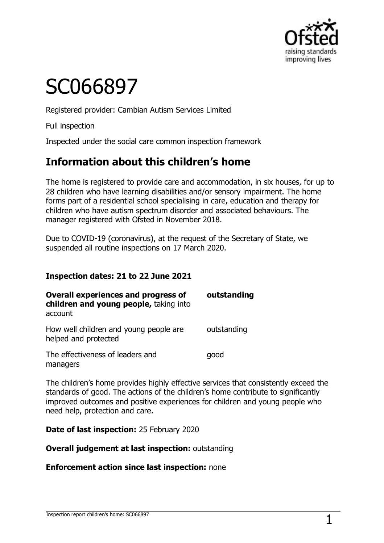

# SC066897

Registered provider: Cambian Autism Services Limited

Full inspection

Inspected under the social care common inspection framework

## **Information about this children's home**

The home is registered to provide care and accommodation, in six houses, for up to 28 children who have learning disabilities and/or sensory impairment. The home forms part of a residential school specialising in care, education and therapy for children who have autism spectrum disorder and associated behaviours. The manager registered with Ofsted in November 2018.

Due to COVID-19 (coronavirus), at the request of the Secretary of State, we suspended all routine inspections on 17 March 2020.

#### **Inspection dates: 21 to 22 June 2021**

| <b>Overall experiences and progress of</b><br>children and young people, taking into<br>account | outstanding |
|-------------------------------------------------------------------------------------------------|-------------|
| How well children and young people are<br>helped and protected                                  | outstanding |
| The effectiveness of leaders and<br>managers                                                    | good        |

The children's home provides highly effective services that consistently exceed the standards of good. The actions of the children's home contribute to significantly improved outcomes and positive experiences for children and young people who need help, protection and care.

**Date of last inspection:** 25 February 2020

**Overall judgement at last inspection:** outstanding

**Enforcement action since last inspection:** none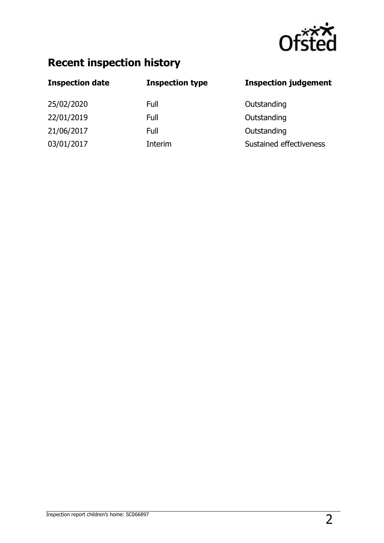

## **Recent inspection history**

| <b>Inspection date</b> | <b>Inspection type</b> | <b>Inspection judgement</b> |
|------------------------|------------------------|-----------------------------|
| 25/02/2020             | Full                   | Outstanding                 |
| 22/01/2019             | Full                   | Outstanding                 |
| 21/06/2017             | Full                   | Outstanding                 |
| 03/01/2017             | Interim                | Sustained effectiveness     |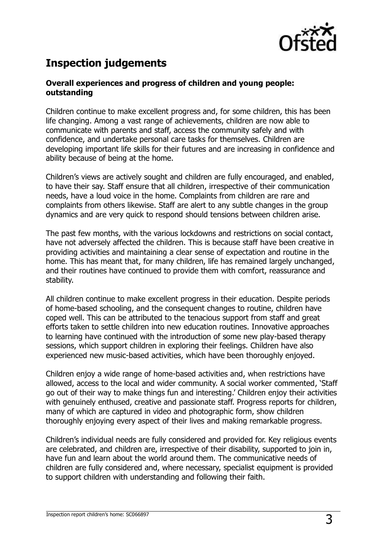

## **Inspection judgements**

#### **Overall experiences and progress of children and young people: outstanding**

Children continue to make excellent progress and, for some children, this has been life changing. Among a vast range of achievements, children are now able to communicate with parents and staff, access the community safely and with confidence, and undertake personal care tasks for themselves. Children are developing important life skills for their futures and are increasing in confidence and ability because of being at the home.

Children's views are actively sought and children are fully encouraged, and enabled, to have their say. Staff ensure that all children, irrespective of their communication needs, have a loud voice in the home. Complaints from children are rare and complaints from others likewise. Staff are alert to any subtle changes in the group dynamics and are very quick to respond should tensions between children arise.

The past few months, with the various lockdowns and restrictions on social contact, have not adversely affected the children. This is because staff have been creative in providing activities and maintaining a clear sense of expectation and routine in the home. This has meant that, for many children, life has remained largely unchanged, and their routines have continued to provide them with comfort, reassurance and stability.

All children continue to make excellent progress in their education. Despite periods of home-based schooling, and the consequent changes to routine, children have coped well. This can be attributed to the tenacious support from staff and great efforts taken to settle children into new education routines. Innovative approaches to learning have continued with the introduction of some new play-based therapy sessions, which support children in exploring their feelings. Children have also experienced new music-based activities, which have been thoroughly enjoyed.

Children enjoy a wide range of home-based activities and, when restrictions have allowed, access to the local and wider community. A social worker commented, 'Staff go out of their way to make things fun and interesting.' Children enjoy their activities with genuinely enthused, creative and passionate staff. Progress reports for children, many of which are captured in video and photographic form, show children thoroughly enjoying every aspect of their lives and making remarkable progress.

Children's individual needs are fully considered and provided for. Key religious events are celebrated, and children are, irrespective of their disability, supported to join in, have fun and learn about the world around them. The communicative needs of children are fully considered and, where necessary, specialist equipment is provided to support children with understanding and following their faith.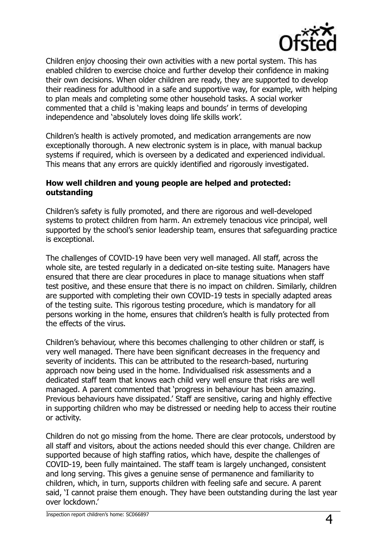

Children enjoy choosing their own activities with a new portal system. This has enabled children to exercise choice and further develop their confidence in making their own decisions. When older children are ready, they are supported to develop their readiness for adulthood in a safe and supportive way, for example, with helping to plan meals and completing some other household tasks. A social worker commented that a child is 'making leaps and bounds' in terms of developing independence and 'absolutely loves doing life skills work'.

Children's health is actively promoted, and medication arrangements are now exceptionally thorough. A new electronic system is in place, with manual backup systems if required, which is overseen by a dedicated and experienced individual. This means that any errors are quickly identified and rigorously investigated.

#### **How well children and young people are helped and protected: outstanding**

Children's safety is fully promoted, and there are rigorous and well-developed systems to protect children from harm. An extremely tenacious vice principal, well supported by the school's senior leadership team, ensures that safeguarding practice is exceptional.

The challenges of COVID-19 have been very well managed. All staff, across the whole site, are tested regularly in a dedicated on-site testing suite. Managers have ensured that there are clear procedures in place to manage situations when staff test positive, and these ensure that there is no impact on children. Similarly, children are supported with completing their own COVID-19 tests in specially adapted areas of the testing suite. This rigorous testing procedure, which is mandatory for all persons working in the home, ensures that children's health is fully protected from the effects of the virus.

Children's behaviour, where this becomes challenging to other children or staff, is very well managed. There have been significant decreases in the frequency and severity of incidents. This can be attributed to the research-based, nurturing approach now being used in the home. Individualised risk assessments and a dedicated staff team that knows each child very well ensure that risks are well managed. A parent commented that 'progress in behaviour has been amazing. Previous behaviours have dissipated.' Staff are sensitive, caring and highly effective in supporting children who may be distressed or needing help to access their routine or activity.

Children do not go missing from the home. There are clear protocols, understood by all staff and visitors, about the actions needed should this ever change. Children are supported because of high staffing ratios, which have, despite the challenges of COVID-19, been fully maintained. The staff team is largely unchanged, consistent and long serving. This gives a genuine sense of permanence and familiarity to children, which, in turn, supports children with feeling safe and secure. A parent said, 'I cannot praise them enough. They have been outstanding during the last year over lockdown.'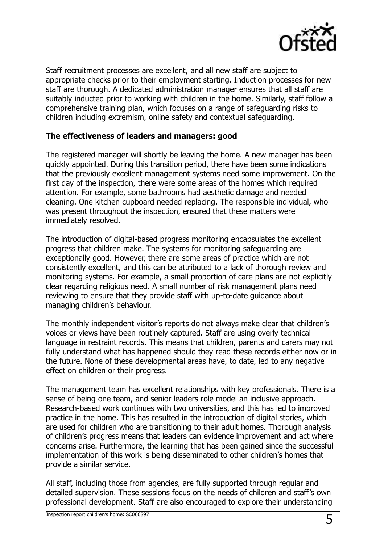

Staff recruitment processes are excellent, and all new staff are subject to appropriate checks prior to their employment starting. Induction processes for new staff are thorough. A dedicated administration manager ensures that all staff are suitably inducted prior to working with children in the home. Similarly, staff follow a comprehensive training plan, which focuses on a range of safeguarding risks to children including extremism, online safety and contextual safeguarding.

#### **The effectiveness of leaders and managers: good**

The registered manager will shortly be leaving the home. A new manager has been quickly appointed. During this transition period, there have been some indications that the previously excellent management systems need some improvement. On the first day of the inspection, there were some areas of the homes which required attention. For example, some bathrooms had aesthetic damage and needed cleaning. One kitchen cupboard needed replacing. The responsible individual, who was present throughout the inspection, ensured that these matters were immediately resolved.

The introduction of digital-based progress monitoring encapsulates the excellent progress that children make. The systems for monitoring safeguarding are exceptionally good. However, there are some areas of practice which are not consistently excellent, and this can be attributed to a lack of thorough review and monitoring systems. For example, a small proportion of care plans are not explicitly clear regarding religious need. A small number of risk management plans need reviewing to ensure that they provide staff with up-to-date guidance about managing children's behaviour.

The monthly independent visitor's reports do not always make clear that children's voices or views have been routinely captured. Staff are using overly technical language in restraint records. This means that children, parents and carers may not fully understand what has happened should they read these records either now or in the future. None of these developmental areas have, to date, led to any negative effect on children or their progress.

The management team has excellent relationships with key professionals. There is a sense of being one team, and senior leaders role model an inclusive approach. Research-based work continues with two universities, and this has led to improved practice in the home. This has resulted in the introduction of digital stories, which are used for children who are transitioning to their adult homes. Thorough analysis of children's progress means that leaders can evidence improvement and act where concerns arise. Furthermore, the learning that has been gained since the successful implementation of this work is being disseminated to other children's homes that provide a similar service.

All staff, including those from agencies, are fully supported through regular and detailed supervision. These sessions focus on the needs of children and staff's own professional development. Staff are also encouraged to explore their understanding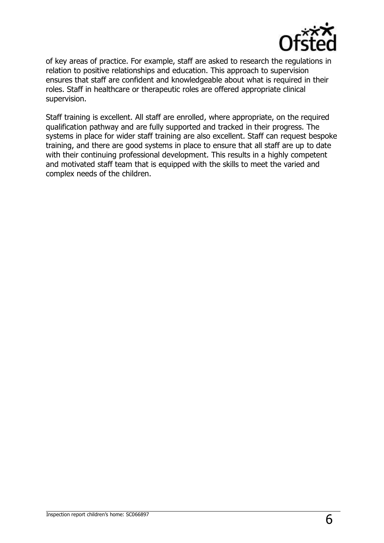

of key areas of practice. For example, staff are asked to research the regulations in relation to positive relationships and education. This approach to supervision ensures that staff are confident and knowledgeable about what is required in their roles. Staff in healthcare or therapeutic roles are offered appropriate clinical supervision.

Staff training is excellent. All staff are enrolled, where appropriate, on the required qualification pathway and are fully supported and tracked in their progress. The systems in place for wider staff training are also excellent. Staff can request bespoke training, and there are good systems in place to ensure that all staff are up to date with their continuing professional development. This results in a highly competent and motivated staff team that is equipped with the skills to meet the varied and complex needs of the children.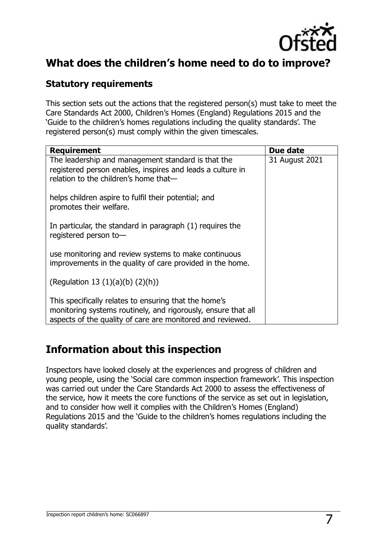

## **What does the children's home need to do to improve?**

#### **Statutory requirements**

This section sets out the actions that the registered person(s) must take to meet the Care Standards Act 2000, Children's Homes (England) Regulations 2015 and the 'Guide to the children's homes regulations including the quality standards'. The registered person(s) must comply within the given timescales.

| <b>Requirement</b>                                                                                                                                                                   | Due date       |
|--------------------------------------------------------------------------------------------------------------------------------------------------------------------------------------|----------------|
| The leadership and management standard is that the<br>registered person enables, inspires and leads a culture in<br>relation to the children's home that-                            | 31 August 2021 |
| helps children aspire to fulfil their potential; and<br>promotes their welfare.                                                                                                      |                |
| In particular, the standard in paragraph (1) requires the<br>registered person to-                                                                                                   |                |
| use monitoring and review systems to make continuous<br>improvements in the quality of care provided in the home.                                                                    |                |
| (Regulation 13 $(1)(a)(b)$ $(2)(h)$ )                                                                                                                                                |                |
| This specifically relates to ensuring that the home's<br>monitoring systems routinely, and rigorously, ensure that all<br>aspects of the quality of care are monitored and reviewed. |                |

## **Information about this inspection**

Inspectors have looked closely at the experiences and progress of children and young people, using the 'Social care common inspection framework'. This inspection was carried out under the Care Standards Act 2000 to assess the effectiveness of the service, how it meets the core functions of the service as set out in legislation, and to consider how well it complies with the Children's Homes (England) Regulations 2015 and the 'Guide to the children's homes regulations including the quality standards'.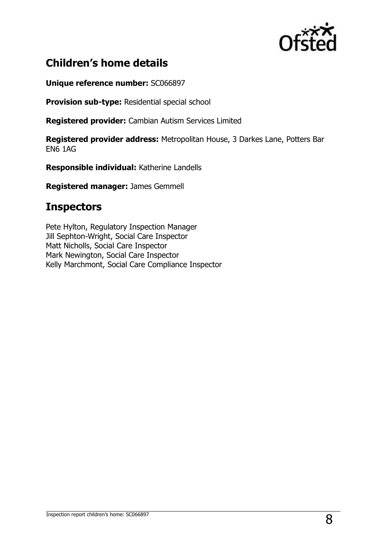

## **Children's home details**

**Unique reference number:** SC066897

**Provision sub-type:** Residential special school

**Registered provider:** Cambian Autism Services Limited

**Registered provider address:** Metropolitan House, 3 Darkes Lane, Potters Bar EN6 1AG

**Responsible individual:** Katherine Landells

**Registered manager:** James Gemmell

### **Inspectors**

Pete Hylton, Regulatory Inspection Manager Jill Sephton-Wright, Social Care Inspector Matt Nicholls, Social Care Inspector Mark Newington, Social Care Inspector Kelly Marchmont, Social Care Compliance Inspector